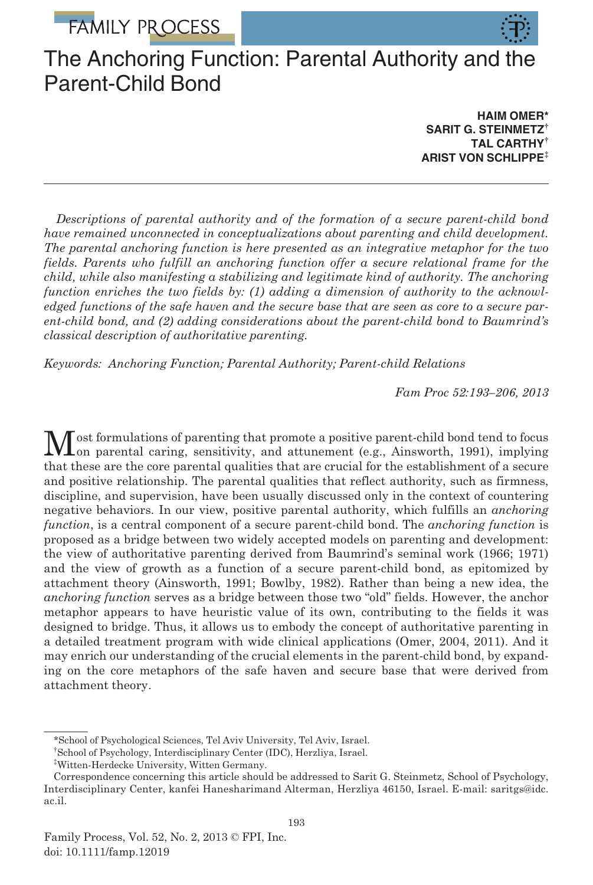**FAMILY PROCESS** 



# The Anchoring Function: Parental Authority and the Parent-Child Bond

HAIM OMER\* SARIT G. STEINMETZ<sup>†</sup> TAL CARTHY† ARIST VON SCHLIPPE‡

Descriptions of parental authority and of the formation of a secure parent-child bond have remained unconnected in conceptualizations about parenting and child development. The parental anchoring function is here presented as an integrative metaphor for the two fields. Parents who fulfill an anchoring function offer a secure relational frame for the child, while also manifesting a stabilizing and legitimate kind of authority. The anchoring function enriches the two fields by: (1) adding a dimension of authority to the acknowledged functions of the safe haven and the secure base that are seen as core to a secure parent-child bond, and (2) adding considerations about the parent-child bond to Baumrind's classical description of authoritative parenting.

Keywords: Anchoring Function; Parental Authority; Parent-child Relations

Fam Proc 52:193–206, 2013

Most formulations of parenting that promote a positive parent-child bond tend to focus<br>on parental caring, sensitivity, and attunement (e.g., Ainsworth, 1991), implying that these are the core parental qualities that are crucial for the establishment of a secure and positive relationship. The parental qualities that reflect authority, such as firmness, discipline, and supervision, have been usually discussed only in the context of countering negative behaviors. In our view, positive parental authority, which fulfills an anchoring function, is a central component of a secure parent-child bond. The anchoring function is proposed as a bridge between two widely accepted models on parenting and development: the view of authoritative parenting derived from Baumrind's seminal work (1966; 1971) and the view of growth as a function of a secure parent-child bond, as epitomized by attachment theory (Ainsworth, 1991; Bowlby, 1982). Rather than being a new idea, the anchoring function serves as a bridge between those two "old" fields. However, the anchor metaphor appears to have heuristic value of its own, contributing to the fields it was designed to bridge. Thus, it allows us to embody the concept of authoritative parenting in a detailed treatment program with wide clinical applications (Omer, 2004, 2011). And it may enrich our understanding of the crucial elements in the parent-child bond, by expanding on the core metaphors of the safe haven and secure base that were derived from attachment theory.

<sup>\*</sup>School of Psychological Sciences, Tel Aviv University, Tel Aviv, Israel.

<sup>†</sup> School of Psychology, Interdisciplinary Center (IDC), Herzliya, Israel.

<sup>‡</sup> Witten-Herdecke University, Witten Germany.

Correspondence concerning this article should be addressed to Sarit G. Steinmetz, School of Psychology, Interdisciplinary Center, kanfei Hanesharimand Alterman, Herzliya 46150, Israel. E-mail: saritgs@idc. ac.il.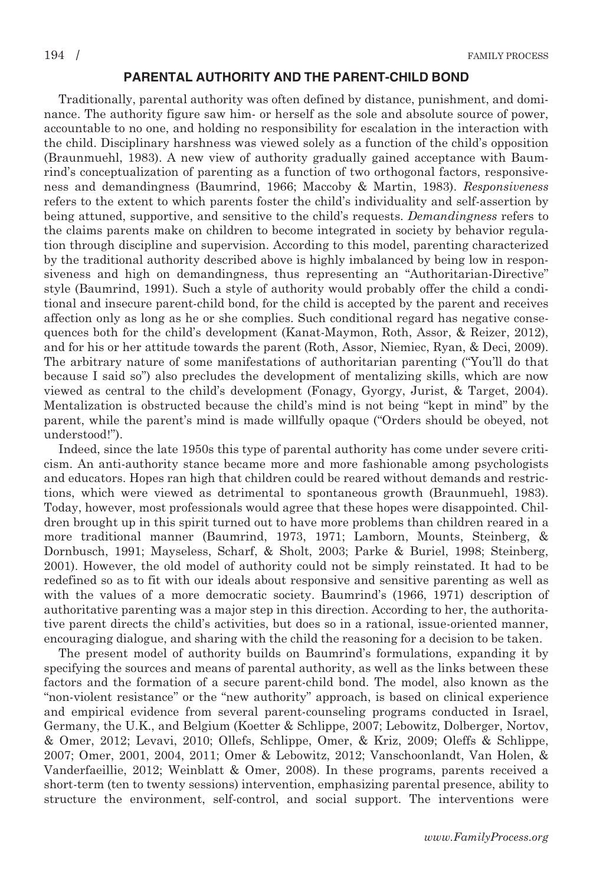## PARENTAL AUTHORITY AND THE PARENT-CHILD BOND

Traditionally, parental authority was often defined by distance, punishment, and dominance. The authority figure saw him- or herself as the sole and absolute source of power, accountable to no one, and holding no responsibility for escalation in the interaction with the child. Disciplinary harshness was viewed solely as a function of the child's opposition (Braunmuehl, 1983). A new view of authority gradually gained acceptance with Baumrind's conceptualization of parenting as a function of two orthogonal factors, responsiveness and demandingness (Baumrind, 1966; Maccoby & Martin, 1983). Responsiveness refers to the extent to which parents foster the child's individuality and self-assertion by being attuned, supportive, and sensitive to the child's requests. Demandingness refers to the claims parents make on children to become integrated in society by behavior regulation through discipline and supervision. According to this model, parenting characterized by the traditional authority described above is highly imbalanced by being low in responsiveness and high on demandingness, thus representing an "Authoritarian-Directive" style (Baumrind, 1991). Such a style of authority would probably offer the child a conditional and insecure parent-child bond, for the child is accepted by the parent and receives affection only as long as he or she complies. Such conditional regard has negative consequences both for the child's development (Kanat-Maymon, Roth, Assor, & Reizer, 2012), and for his or her attitude towards the parent (Roth, Assor, Niemiec, Ryan, & Deci, 2009). The arbitrary nature of some manifestations of authoritarian parenting ("You'll do that because I said so") also precludes the development of mentalizing skills, which are now viewed as central to the child's development (Fonagy, Gyorgy, Jurist, & Target, 2004). Mentalization is obstructed because the child's mind is not being "kept in mind" by the parent, while the parent's mind is made willfully opaque ("Orders should be obeyed, not understood!").

Indeed, since the late 1950s this type of parental authority has come under severe criticism. An anti-authority stance became more and more fashionable among psychologists and educators. Hopes ran high that children could be reared without demands and restrictions, which were viewed as detrimental to spontaneous growth (Braunmuehl, 1983). Today, however, most professionals would agree that these hopes were disappointed. Children brought up in this spirit turned out to have more problems than children reared in a more traditional manner (Baumrind, 1973, 1971; Lamborn, Mounts, Steinberg, & Dornbusch, 1991; Mayseless, Scharf, & Sholt, 2003; Parke & Buriel, 1998; Steinberg, 2001). However, the old model of authority could not be simply reinstated. It had to be redefined so as to fit with our ideals about responsive and sensitive parenting as well as with the values of a more democratic society. Baumrind's (1966, 1971) description of authoritative parenting was a major step in this direction. According to her, the authoritative parent directs the child's activities, but does so in a rational, issue-oriented manner, encouraging dialogue, and sharing with the child the reasoning for a decision to be taken.

The present model of authority builds on Baumrind's formulations, expanding it by specifying the sources and means of parental authority, as well as the links between these factors and the formation of a secure parent-child bond. The model, also known as the "non-violent resistance" or the "new authority" approach, is based on clinical experience and empirical evidence from several parent-counseling programs conducted in Israel, Germany, the U.K., and Belgium (Koetter & Schlippe, 2007; Lebowitz, Dolberger, Nortov, & Omer, 2012; Levavi, 2010; Ollefs, Schlippe, Omer, & Kriz, 2009; Oleffs & Schlippe, 2007; Omer, 2001, 2004, 2011; Omer & Lebowitz, 2012; Vanschoonlandt, Van Holen, & Vanderfaeillie, 2012; Weinblatt & Omer, 2008). In these programs, parents received a short-term (ten to twenty sessions) intervention, emphasizing parental presence, ability to structure the environment, self-control, and social support. The interventions were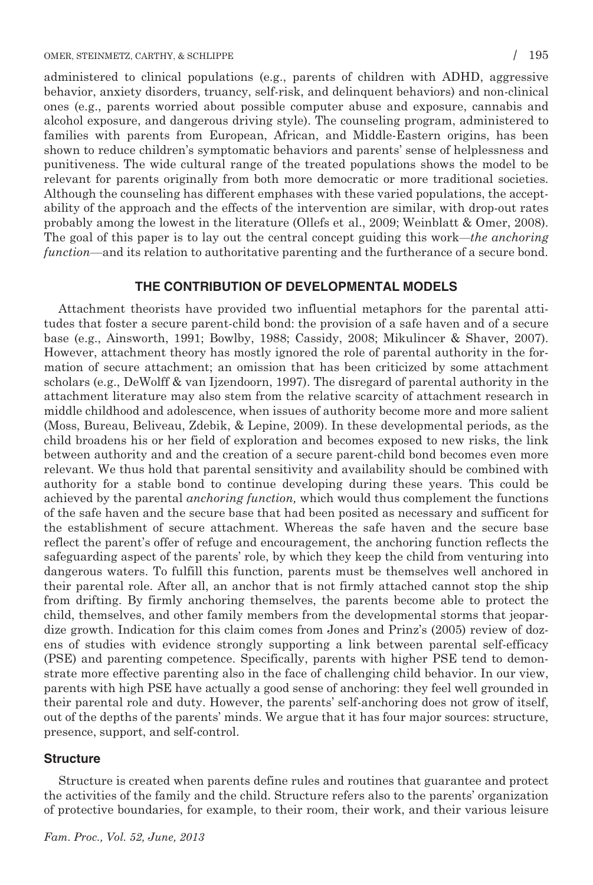administered to clinical populations (e.g., parents of children with ADHD, aggressive behavior, anxiety disorders, truancy, self-risk, and delinquent behaviors) and non-clinical ones (e.g., parents worried about possible computer abuse and exposure, cannabis and alcohol exposure, and dangerous driving style). The counseling program, administered to families with parents from European, African, and Middle-Eastern origins, has been shown to reduce children's symptomatic behaviors and parents' sense of helplessness and punitiveness. The wide cultural range of the treated populations shows the model to be relevant for parents originally from both more democratic or more traditional societies. Although the counseling has different emphases with these varied populations, the acceptability of the approach and the effects of the intervention are similar, with drop-out rates probably among the lowest in the literature (Ollefs et al., 2009; Weinblatt & Omer, 2008). The goal of this paper is to lay out the central concept guiding this work—the anchoring function—and its relation to authoritative parenting and the furtherance of a secure bond.

### THE CONTRIBUTION OF DEVELOPMENTAL MODELS

Attachment theorists have provided two influential metaphors for the parental attitudes that foster a secure parent-child bond: the provision of a safe haven and of a secure base (e.g., Ainsworth, 1991; Bowlby, 1988; Cassidy, 2008; Mikulincer & Shaver, 2007). However, attachment theory has mostly ignored the role of parental authority in the formation of secure attachment; an omission that has been criticized by some attachment scholars (e.g., DeWolff & van Ijzendoorn, 1997). The disregard of parental authority in the attachment literature may also stem from the relative scarcity of attachment research in middle childhood and adolescence, when issues of authority become more and more salient (Moss, Bureau, Beliveau, Zdebik, & Lepine, 2009). In these developmental periods, as the child broadens his or her field of exploration and becomes exposed to new risks, the link between authority and and the creation of a secure parent-child bond becomes even more relevant. We thus hold that parental sensitivity and availability should be combined with authority for a stable bond to continue developing during these years. This could be achieved by the parental anchoring function, which would thus complement the functions of the safe haven and the secure base that had been posited as necessary and sufficent for the establishment of secure attachment. Whereas the safe haven and the secure base reflect the parent's offer of refuge and encouragement, the anchoring function reflects the safeguarding aspect of the parents' role, by which they keep the child from venturing into dangerous waters. To fulfill this function, parents must be themselves well anchored in their parental role. After all, an anchor that is not firmly attached cannot stop the ship from drifting. By firmly anchoring themselves, the parents become able to protect the child, themselves, and other family members from the developmental storms that jeopardize growth. Indication for this claim comes from Jones and Prinz's (2005) review of dozens of studies with evidence strongly supporting a link between parental self-efficacy (PSE) and parenting competence. Specifically, parents with higher PSE tend to demonstrate more effective parenting also in the face of challenging child behavior. In our view, parents with high PSE have actually a good sense of anchoring: they feel well grounded in their parental role and duty. However, the parents' self-anchoring does not grow of itself, out of the depths of the parents' minds. We argue that it has four major sources: structure, presence, support, and self-control.

### **Structure**

Structure is created when parents define rules and routines that guarantee and protect the activities of the family and the child. Structure refers also to the parents' organization of protective boundaries, for example, to their room, their work, and their various leisure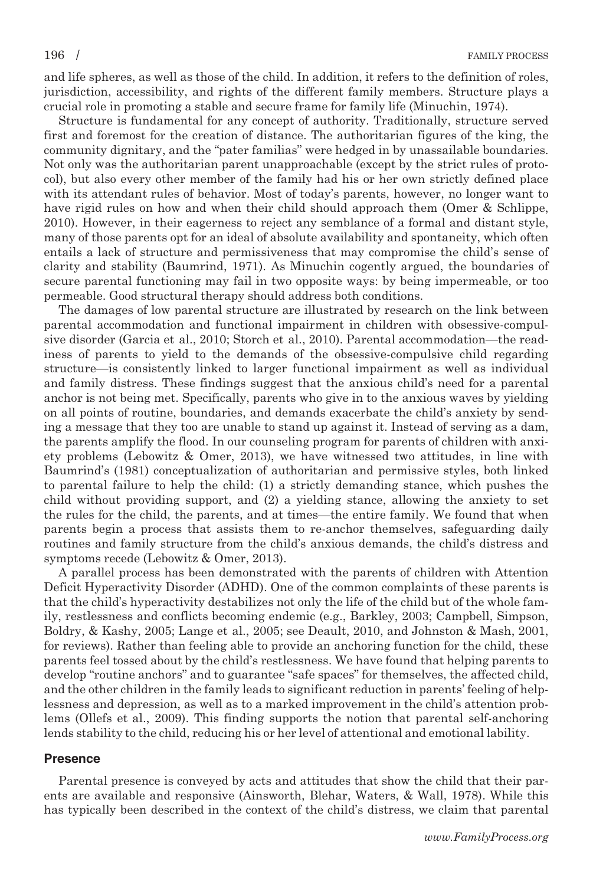and life spheres, as well as those of the child. In addition, it refers to the definition of roles, jurisdiction, accessibility, and rights of the different family members. Structure plays a crucial role in promoting a stable and secure frame for family life (Minuchin, 1974).

Structure is fundamental for any concept of authority. Traditionally, structure served first and foremost for the creation of distance. The authoritarian figures of the king, the community dignitary, and the "pater familias" were hedged in by unassailable boundaries. Not only was the authoritarian parent unapproachable (except by the strict rules of protocol), but also every other member of the family had his or her own strictly defined place with its attendant rules of behavior. Most of today's parents, however, no longer want to have rigid rules on how and when their child should approach them (Omer & Schlippe, 2010). However, in their eagerness to reject any semblance of a formal and distant style, many of those parents opt for an ideal of absolute availability and spontaneity, which often entails a lack of structure and permissiveness that may compromise the child's sense of clarity and stability (Baumrind, 1971). As Minuchin cogently argued, the boundaries of secure parental functioning may fail in two opposite ways: by being impermeable, or too permeable. Good structural therapy should address both conditions.

The damages of low parental structure are illustrated by research on the link between parental accommodation and functional impairment in children with obsessive-compulsive disorder (Garcia et al., 2010; Storch et al., 2010). Parental accommodation—the readiness of parents to yield to the demands of the obsessive-compulsive child regarding structure—is consistently linked to larger functional impairment as well as individual and family distress. These findings suggest that the anxious child's need for a parental anchor is not being met. Specifically, parents who give in to the anxious waves by yielding on all points of routine, boundaries, and demands exacerbate the child's anxiety by sending a message that they too are unable to stand up against it. Instead of serving as a dam, the parents amplify the flood. In our counseling program for parents of children with anxiety problems (Lebowitz & Omer, 2013), we have witnessed two attitudes, in line with Baumrind's (1981) conceptualization of authoritarian and permissive styles, both linked to parental failure to help the child: (1) a strictly demanding stance, which pushes the child without providing support, and (2) a yielding stance, allowing the anxiety to set the rules for the child, the parents, and at times—the entire family. We found that when parents begin a process that assists them to re-anchor themselves, safeguarding daily routines and family structure from the child's anxious demands, the child's distress and symptoms recede (Lebowitz & Omer, 2013).

A parallel process has been demonstrated with the parents of children with Attention Deficit Hyperactivity Disorder (ADHD). One of the common complaints of these parents is that the child's hyperactivity destabilizes not only the life of the child but of the whole family, restlessness and conflicts becoming endemic (e.g., Barkley, 2003; Campbell, Simpson, Boldry, & Kashy, 2005; Lange et al., 2005; see Deault, 2010, and Johnston & Mash, 2001, for reviews). Rather than feeling able to provide an anchoring function for the child, these parents feel tossed about by the child's restlessness. We have found that helping parents to develop "routine anchors" and to guarantee "safe spaces" for themselves, the affected child, and the other children in the family leads to significant reduction in parents' feeling of helplessness and depression, as well as to a marked improvement in the child's attention problems (Ollefs et al., 2009). This finding supports the notion that parental self-anchoring lends stability to the child, reducing his or her level of attentional and emotional lability.

### Presence

Parental presence is conveyed by acts and attitudes that show the child that their parents are available and responsive (Ainsworth, Blehar, Waters, & Wall, 1978). While this has typically been described in the context of the child's distress, we claim that parental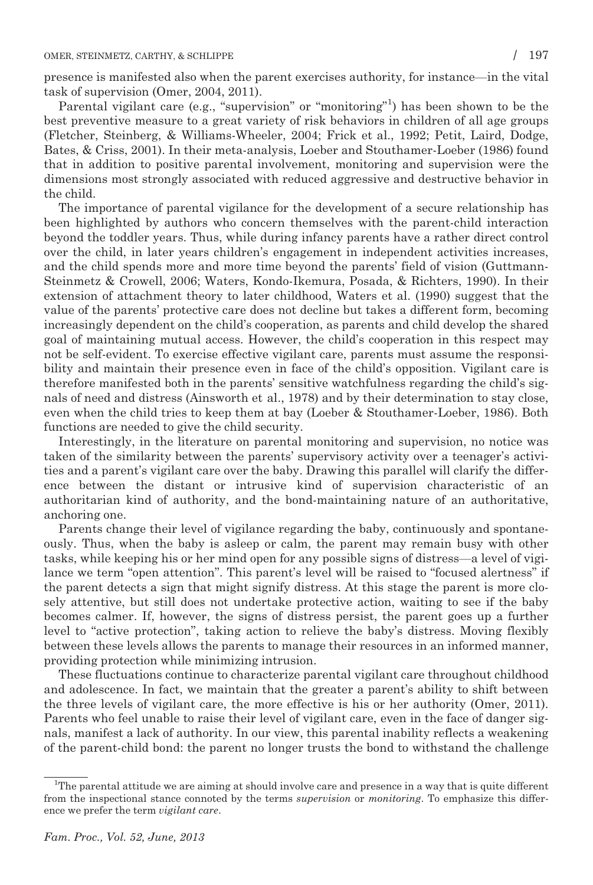presence is manifested also when the parent exercises authority, for instance—in the vital task of supervision (Omer, 2004, 2011).

Parental vigilant care (e.g., "supervision" or "monitoring"<sup>1</sup>) has been shown to be the best preventive measure to a great variety of risk behaviors in children of all age groups (Fletcher, Steinberg, & Williams-Wheeler, 2004; Frick et al., 1992; Petit, Laird, Dodge, Bates, & Criss, 2001). In their meta-analysis, Loeber and Stouthamer-Loeber (1986) found that in addition to positive parental involvement, monitoring and supervision were the dimensions most strongly associated with reduced aggressive and destructive behavior in the child.

The importance of parental vigilance for the development of a secure relationship has been highlighted by authors who concern themselves with the parent-child interaction beyond the toddler years. Thus, while during infancy parents have a rather direct control over the child, in later years children's engagement in independent activities increases, and the child spends more and more time beyond the parents' field of vision (Guttmann-Steinmetz & Crowell, 2006; Waters, Kondo-Ikemura, Posada, & Richters, 1990). In their extension of attachment theory to later childhood, Waters et al. (1990) suggest that the value of the parents' protective care does not decline but takes a different form, becoming increasingly dependent on the child's cooperation, as parents and child develop the shared goal of maintaining mutual access. However, the child's cooperation in this respect may not be self-evident. To exercise effective vigilant care, parents must assume the responsibility and maintain their presence even in face of the child's opposition. Vigilant care is therefore manifested both in the parents' sensitive watchfulness regarding the child's signals of need and distress (Ainsworth et al., 1978) and by their determination to stay close, even when the child tries to keep them at bay (Loeber & Stouthamer-Loeber, 1986). Both functions are needed to give the child security.

Interestingly, in the literature on parental monitoring and supervision, no notice was taken of the similarity between the parents' supervisory activity over a teenager's activities and a parent's vigilant care over the baby. Drawing this parallel will clarify the difference between the distant or intrusive kind of supervision characteristic of an authoritarian kind of authority, and the bond-maintaining nature of an authoritative, anchoring one.

Parents change their level of vigilance regarding the baby, continuously and spontaneously. Thus, when the baby is asleep or calm, the parent may remain busy with other tasks, while keeping his or her mind open for any possible signs of distress—a level of vigilance we term "open attention". This parent's level will be raised to "focused alertness" if the parent detects a sign that might signify distress. At this stage the parent is more closely attentive, but still does not undertake protective action, waiting to see if the baby becomes calmer. If, however, the signs of distress persist, the parent goes up a further level to "active protection", taking action to relieve the baby's distress. Moving flexibly between these levels allows the parents to manage their resources in an informed manner, providing protection while minimizing intrusion.

These fluctuations continue to characterize parental vigilant care throughout childhood and adolescence. In fact, we maintain that the greater a parent's ability to shift between the three levels of vigilant care, the more effective is his or her authority (Omer, 2011). Parents who feel unable to raise their level of vigilant care, even in the face of danger signals, manifest a lack of authority. In our view, this parental inability reflects a weakening of the parent-child bond: the parent no longer trusts the bond to withstand the challenge

<sup>&</sup>lt;sup>1</sup>The parental attitude we are aiming at should involve care and presence in a way that is quite different from the inspectional stance connoted by the terms supervision or monitoring. To emphasize this difference we prefer the term vigilant care.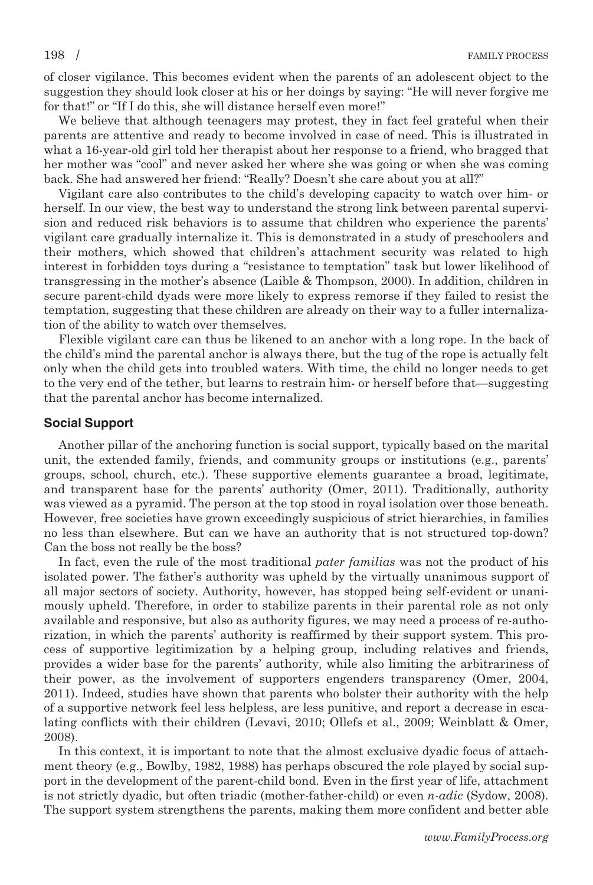of closer vigilance. This becomes evident when the parents of an adolescent object to the suggestion they should look closer at his or her doings by saying: "He will never forgive me for that!" or "If I do this, she will distance herself even more!"

We believe that although teenagers may protest, they in fact feel grateful when their parents are attentive and ready to become involved in case of need. This is illustrated in what a 16-year-old girl told her therapist about her response to a friend, who bragged that her mother was "cool" and never asked her where she was going or when she was coming back. She had answered her friend: "Really? Doesn't she care about you at all?"

Vigilant care also contributes to the child's developing capacity to watch over him- or herself. In our view, the best way to understand the strong link between parental supervision and reduced risk behaviors is to assume that children who experience the parents' vigilant care gradually internalize it. This is demonstrated in a study of preschoolers and their mothers, which showed that children's attachment security was related to high interest in forbidden toys during a "resistance to temptation" task but lower likelihood of transgressing in the mother's absence (Laible & Thompson, 2000). In addition, children in secure parent-child dyads were more likely to express remorse if they failed to resist the temptation, suggesting that these children are already on their way to a fuller internalization of the ability to watch over themselves.

Flexible vigilant care can thus be likened to an anchor with a long rope. In the back of the child's mind the parental anchor is always there, but the tug of the rope is actually felt only when the child gets into troubled waters. With time, the child no longer needs to get to the very end of the tether, but learns to restrain him- or herself before that—suggesting that the parental anchor has become internalized.

### Social Support

Another pillar of the anchoring function is social support, typically based on the marital unit, the extended family, friends, and community groups or institutions (e.g., parents' groups, school, church, etc.). These supportive elements guarantee a broad, legitimate, and transparent base for the parents' authority (Omer, 2011). Traditionally, authority was viewed as a pyramid. The person at the top stood in royal isolation over those beneath. However, free societies have grown exceedingly suspicious of strict hierarchies, in families no less than elsewhere. But can we have an authority that is not structured top-down? Can the boss not really be the boss?

In fact, even the rule of the most traditional pater familias was not the product of his isolated power. The father's authority was upheld by the virtually unanimous support of all major sectors of society. Authority, however, has stopped being self-evident or unanimously upheld. Therefore, in order to stabilize parents in their parental role as not only available and responsive, but also as authority figures, we may need a process of re-authorization, in which the parents' authority is reaffirmed by their support system. This process of supportive legitimization by a helping group, including relatives and friends, provides a wider base for the parents' authority, while also limiting the arbitrariness of their power, as the involvement of supporters engenders transparency (Omer, 2004, 2011). Indeed, studies have shown that parents who bolster their authority with the help of a supportive network feel less helpless, are less punitive, and report a decrease in escalating conflicts with their children (Levavi, 2010; Ollefs et al., 2009; Weinblatt & Omer, 2008).

In this context, it is important to note that the almost exclusive dyadic focus of attachment theory (e.g., Bowlby, 1982, 1988) has perhaps obscured the role played by social support in the development of the parent-child bond. Even in the first year of life, attachment is not strictly dyadic, but often triadic (mother-father-child) or even n-adic (Sydow, 2008). The support system strengthens the parents, making them more confident and better able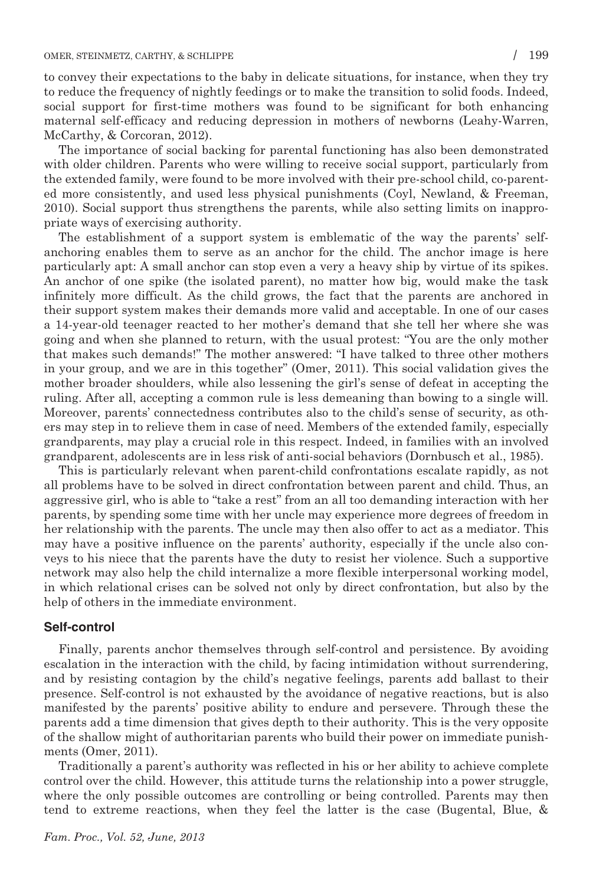to convey their expectations to the baby in delicate situations, for instance, when they try to reduce the frequency of nightly feedings or to make the transition to solid foods. Indeed, social support for first-time mothers was found to be significant for both enhancing maternal self-efficacy and reducing depression in mothers of newborns (Leahy-Warren, McCarthy, & Corcoran, 2012).

The importance of social backing for parental functioning has also been demonstrated with older children. Parents who were willing to receive social support, particularly from the extended family, were found to be more involved with their pre-school child, co-parented more consistently, and used less physical punishments (Coyl, Newland, & Freeman, 2010). Social support thus strengthens the parents, while also setting limits on inappropriate ways of exercising authority.

The establishment of a support system is emblematic of the way the parents' selfanchoring enables them to serve as an anchor for the child. The anchor image is here particularly apt: A small anchor can stop even a very a heavy ship by virtue of its spikes. An anchor of one spike (the isolated parent), no matter how big, would make the task infinitely more difficult. As the child grows, the fact that the parents are anchored in their support system makes their demands more valid and acceptable. In one of our cases a 14-year-old teenager reacted to her mother's demand that she tell her where she was going and when she planned to return, with the usual protest: "You are the only mother that makes such demands!" The mother answered: "I have talked to three other mothers in your group, and we are in this together" (Omer, 2011). This social validation gives the mother broader shoulders, while also lessening the girl's sense of defeat in accepting the ruling. After all, accepting a common rule is less demeaning than bowing to a single will. Moreover, parents' connectedness contributes also to the child's sense of security, as others may step in to relieve them in case of need. Members of the extended family, especially grandparents, may play a crucial role in this respect. Indeed, in families with an involved grandparent, adolescents are in less risk of anti-social behaviors (Dornbusch et al., 1985).

This is particularly relevant when parent-child confrontations escalate rapidly, as not all problems have to be solved in direct confrontation between parent and child. Thus, an aggressive girl, who is able to "take a rest" from an all too demanding interaction with her parents, by spending some time with her uncle may experience more degrees of freedom in her relationship with the parents. The uncle may then also offer to act as a mediator. This may have a positive influence on the parents' authority, especially if the uncle also conveys to his niece that the parents have the duty to resist her violence. Such a supportive network may also help the child internalize a more flexible interpersonal working model, in which relational crises can be solved not only by direct confrontation, but also by the help of others in the immediate environment.

### Self-control

Finally, parents anchor themselves through self-control and persistence. By avoiding escalation in the interaction with the child, by facing intimidation without surrendering, and by resisting contagion by the child's negative feelings, parents add ballast to their presence. Self-control is not exhausted by the avoidance of negative reactions, but is also manifested by the parents' positive ability to endure and persevere. Through these the parents add a time dimension that gives depth to their authority. This is the very opposite of the shallow might of authoritarian parents who build their power on immediate punishments (Omer, 2011).

Traditionally a parent's authority was reflected in his or her ability to achieve complete control over the child. However, this attitude turns the relationship into a power struggle, where the only possible outcomes are controlling or being controlled. Parents may then tend to extreme reactions, when they feel the latter is the case (Bugental, Blue, &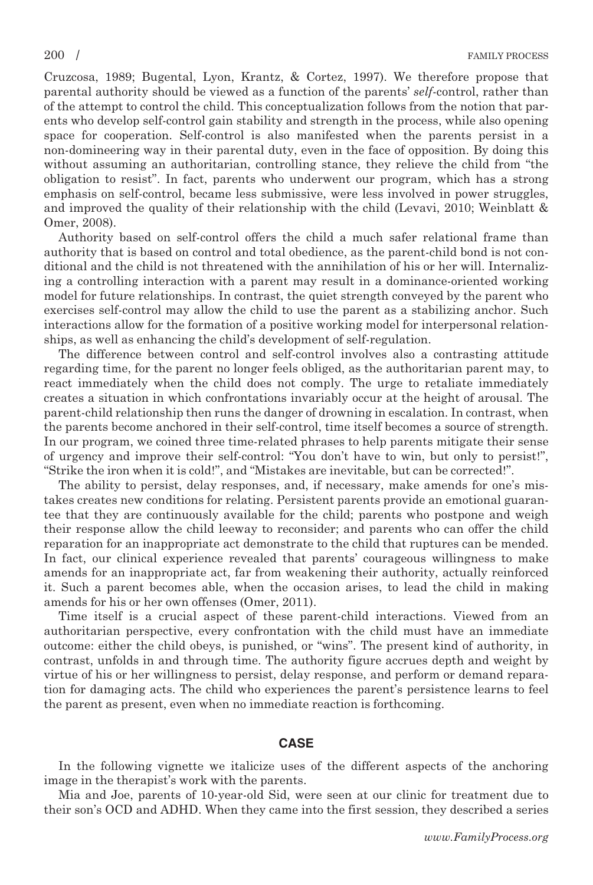Cruzcosa, 1989; Bugental, Lyon, Krantz, & Cortez, 1997). We therefore propose that parental authority should be viewed as a function of the parents' self-control, rather than of the attempt to control the child. This conceptualization follows from the notion that parents who develop self-control gain stability and strength in the process, while also opening space for cooperation. Self-control is also manifested when the parents persist in a non-domineering way in their parental duty, even in the face of opposition. By doing this without assuming an authoritarian, controlling stance, they relieve the child from "the obligation to resist". In fact, parents who underwent our program, which has a strong emphasis on self-control, became less submissive, were less involved in power struggles, and improved the quality of their relationship with the child (Levavi, 2010; Weinblatt & Omer, 2008).

Authority based on self-control offers the child a much safer relational frame than authority that is based on control and total obedience, as the parent-child bond is not conditional and the child is not threatened with the annihilation of his or her will. Internalizing a controlling interaction with a parent may result in a dominance-oriented working model for future relationships. In contrast, the quiet strength conveyed by the parent who exercises self-control may allow the child to use the parent as a stabilizing anchor. Such interactions allow for the formation of a positive working model for interpersonal relationships, as well as enhancing the child's development of self-regulation.

The difference between control and self-control involves also a contrasting attitude regarding time, for the parent no longer feels obliged, as the authoritarian parent may, to react immediately when the child does not comply. The urge to retaliate immediately creates a situation in which confrontations invariably occur at the height of arousal. The parent-child relationship then runs the danger of drowning in escalation. In contrast, when the parents become anchored in their self-control, time itself becomes a source of strength. In our program, we coined three time-related phrases to help parents mitigate their sense of urgency and improve their self-control: "You don't have to win, but only to persist!", "Strike the iron when it is cold!", and "Mistakes are inevitable, but can be corrected!".

The ability to persist, delay responses, and, if necessary, make amends for one's mistakes creates new conditions for relating. Persistent parents provide an emotional guarantee that they are continuously available for the child; parents who postpone and weigh their response allow the child leeway to reconsider; and parents who can offer the child reparation for an inappropriate act demonstrate to the child that ruptures can be mended. In fact, our clinical experience revealed that parents' courageous willingness to make amends for an inappropriate act, far from weakening their authority, actually reinforced it. Such a parent becomes able, when the occasion arises, to lead the child in making amends for his or her own offenses (Omer, 2011).

Time itself is a crucial aspect of these parent-child interactions. Viewed from an authoritarian perspective, every confrontation with the child must have an immediate outcome: either the child obeys, is punished, or "wins". The present kind of authority, in contrast, unfolds in and through time. The authority figure accrues depth and weight by virtue of his or her willingness to persist, delay response, and perform or demand reparation for damaging acts. The child who experiences the parent's persistence learns to feel the parent as present, even when no immediate reaction is forthcoming.

### CASE

In the following vignette we italicize uses of the different aspects of the anchoring image in the therapist's work with the parents.

Mia and Joe, parents of 10-year-old Sid, were seen at our clinic for treatment due to their son's OCD and ADHD. When they came into the first session, they described a series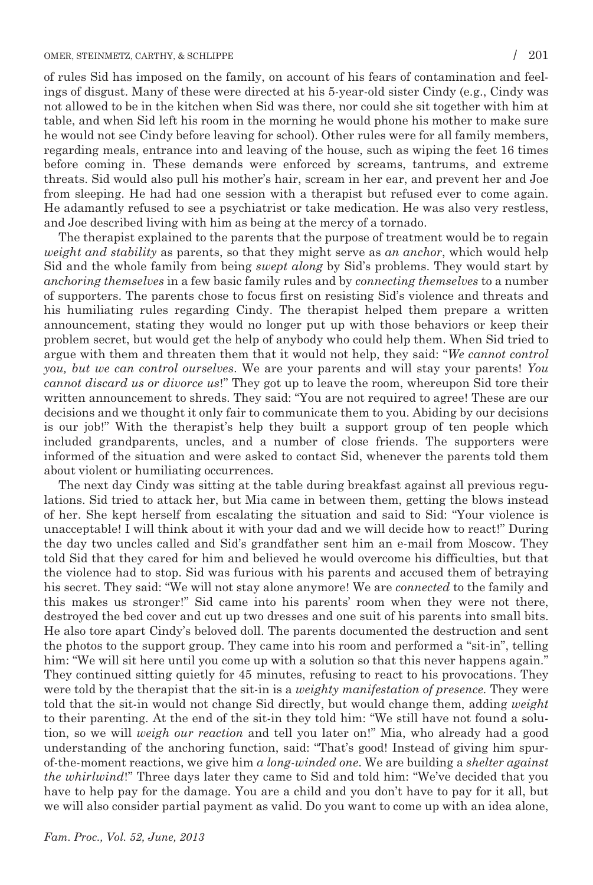of rules Sid has imposed on the family, on account of his fears of contamination and feelings of disgust. Many of these were directed at his 5-year-old sister Cindy (e.g., Cindy was not allowed to be in the kitchen when Sid was there, nor could she sit together with him at table, and when Sid left his room in the morning he would phone his mother to make sure he would not see Cindy before leaving for school). Other rules were for all family members, regarding meals, entrance into and leaving of the house, such as wiping the feet 16 times before coming in. These demands were enforced by screams, tantrums, and extreme threats. Sid would also pull his mother's hair, scream in her ear, and prevent her and Joe from sleeping. He had had one session with a therapist but refused ever to come again. He adamantly refused to see a psychiatrist or take medication. He was also very restless, and Joe described living with him as being at the mercy of a tornado.

The therapist explained to the parents that the purpose of treatment would be to regain weight and stability as parents, so that they might serve as an anchor, which would help Sid and the whole family from being swept along by Sid's problems. They would start by anchoring themselves in a few basic family rules and by connecting themselves to a number of supporters. The parents chose to focus first on resisting Sid's violence and threats and his humiliating rules regarding Cindy. The therapist helped them prepare a written announcement, stating they would no longer put up with those behaviors or keep their problem secret, but would get the help of anybody who could help them. When Sid tried to argue with them and threaten them that it would not help, they said: "We cannot control you, but we can control ourselves. We are your parents and will stay your parents! You cannot discard us or divorce us!" They got up to leave the room, whereupon Sid tore their written announcement to shreds. They said: "You are not required to agree! These are our decisions and we thought it only fair to communicate them to you. Abiding by our decisions is our job!" With the therapist's help they built a support group of ten people which included grandparents, uncles, and a number of close friends. The supporters were informed of the situation and were asked to contact Sid, whenever the parents told them about violent or humiliating occurrences.

The next day Cindy was sitting at the table during breakfast against all previous regulations. Sid tried to attack her, but Mia came in between them, getting the blows instead of her. She kept herself from escalating the situation and said to Sid: "Your violence is unacceptable! I will think about it with your dad and we will decide how to react!" During the day two uncles called and Sid's grandfather sent him an e-mail from Moscow. They told Sid that they cared for him and believed he would overcome his difficulties, but that the violence had to stop. Sid was furious with his parents and accused them of betraying his secret. They said: "We will not stay alone anymore! We are *connected* to the family and this makes us stronger!" Sid came into his parents' room when they were not there, destroyed the bed cover and cut up two dresses and one suit of his parents into small bits. He also tore apart Cindy's beloved doll. The parents documented the destruction and sent the photos to the support group. They came into his room and performed a "sit-in", telling him: "We will sit here until you come up with a solution so that this never happens again." They continued sitting quietly for 45 minutes, refusing to react to his provocations. They were told by the therapist that the sit-in is a *weighty manifestation of presence*. They were told that the sit-in would not change Sid directly, but would change them, adding *weight* to their parenting. At the end of the sit-in they told him: "We still have not found a solution, so we will *weigh our reaction* and tell you later on!" Mia, who already had a good understanding of the anchoring function, said: "That's good! Instead of giving him spurof-the-moment reactions, we give him a long-winded one. We are building a shelter against the whirlwind!" Three days later they came to Sid and told him: "We've decided that you have to help pay for the damage. You are a child and you don't have to pay for it all, but we will also consider partial payment as valid. Do you want to come up with an idea alone,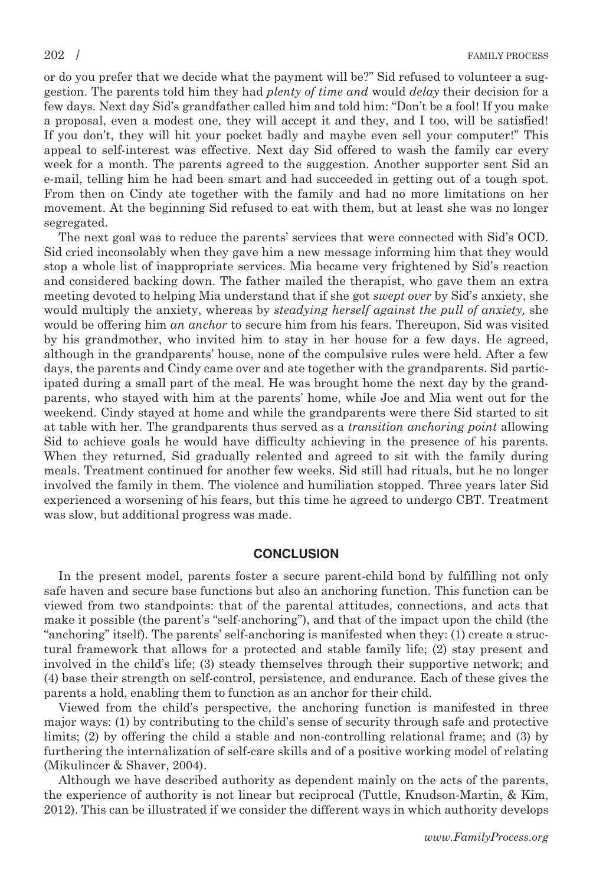or do you prefer that we decide what the payment will be?" Sid refused to volunteer a suggestion. The parents told him they had *plenty of time and* would *delay* their decision for a few days. Next day Sid's grandfather called him and told him: "Don't be a fool! If you make a proposal, even a modest one, they will accept it and they, and I too, will be satisfied! If you don't, they will hit your pocket badly and maybe even sell your computer!" This appeal to self-interest was effective. Next day Sid offered to wash the family car every week for a month. The parents agreed to the suggestion. Another supporter sent Sid an e-mail, telling him he had been smart and had succeeded in getting out of a tough spot. From then on Cindy ate together with the family and had no more limitations on her movement. At the beginning Sid refused to eat with them, but at least she was no longer segregated.

The next goal was to reduce the parents' services that were connected with Sid's OCD. Sid cried inconsolably when they gave him a new message informing him that they would stop a whole list of inappropriate services. Mia became very frightened by Sid's reaction and considered backing down. The father mailed the therapist, who gave them an extra meeting devoted to helping Mia understand that if she got swept over by Sid's anxiety, she would multiply the anxiety, whereas by *steadying herself against the pull of anxiety*, she would be offering him an anchor to secure him from his fears. Thereupon, Sid was visited by his grandmother, who invited him to stay in her house for a few days. He agreed, although in the grandparents' house, none of the compulsive rules were held. After a few days, the parents and Cindy came over and ate together with the grandparents. Sid participated during a small part of the meal. He was brought home the next day by the grandparents, who stayed with him at the parents' home, while Joe and Mia went out for the weekend. Cindy stayed at home and while the grandparents were there Sid started to sit at table with her. The grandparents thus served as a transition anchoring point allowing Sid to achieve goals he would have difficulty achieving in the presence of his parents. When they returned, Sid gradually relented and agreed to sit with the family during meals. Treatment continued for another few weeks. Sid still had rituals, but he no longer involved the family in them. The violence and humiliation stopped. Three years later Sid experienced a worsening of his fears, but this time he agreed to undergo CBT. Treatment was slow, but additional progress was made.

### **CONCLUSION**

In the present model, parents foster a secure parent-child bond by fulfilling not only safe haven and secure base functions but also an anchoring function. This function can be viewed from two standpoints: that of the parental attitudes, connections, and acts that make it possible (the parent's "self-anchoring"), and that of the impact upon the child (the "anchoring" itself). The parents' self-anchoring is manifested when they: (1) create a structural framework that allows for a protected and stable family life; (2) stay present and involved in the child's life; (3) steady themselves through their supportive network; and (4) base their strength on self-control, persistence, and endurance. Each of these gives the parents a hold, enabling them to function as an anchor for their child.

Viewed from the child's perspective, the anchoring function is manifested in three major ways: (1) by contributing to the child's sense of security through safe and protective limits; (2) by offering the child a stable and non-controlling relational frame; and (3) by furthering the internalization of self-care skills and of a positive working model of relating (Mikulincer & Shaver, 2004).

Although we have described authority as dependent mainly on the acts of the parents, the experience of authority is not linear but reciprocal (Tuttle, Knudson-Martin, & Kim, 2012). This can be illustrated if we consider the different ways in which authority develops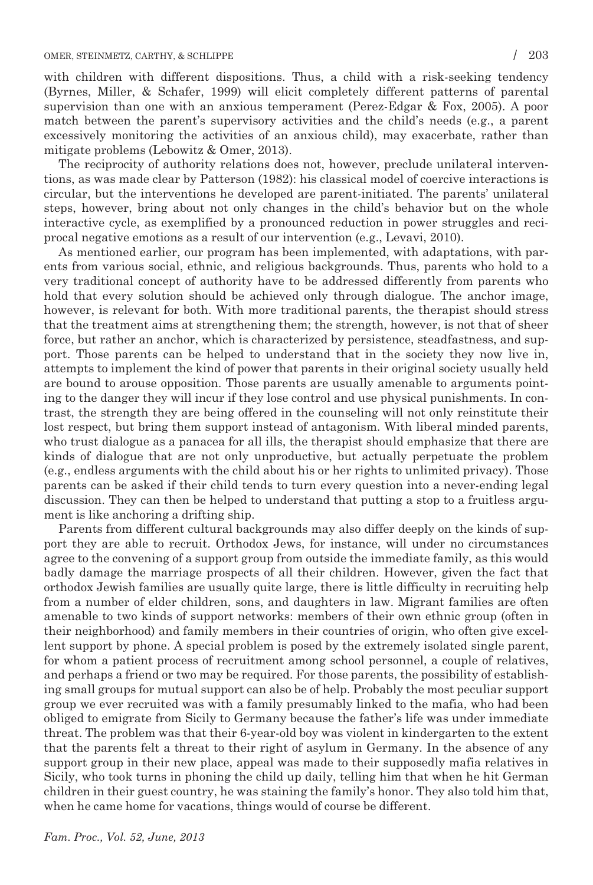with children with different dispositions. Thus, a child with a risk-seeking tendency (Byrnes, Miller, & Schafer, 1999) will elicit completely different patterns of parental supervision than one with an anxious temperament (Perez-Edgar & Fox, 2005). A poor match between the parent's supervisory activities and the child's needs (e.g., a parent excessively monitoring the activities of an anxious child), may exacerbate, rather than mitigate problems (Lebowitz & Omer, 2013).

The reciprocity of authority relations does not, however, preclude unilateral interventions, as was made clear by Patterson (1982): his classical model of coercive interactions is circular, but the interventions he developed are parent-initiated. The parents' unilateral steps, however, bring about not only changes in the child's behavior but on the whole interactive cycle, as exemplified by a pronounced reduction in power struggles and reciprocal negative emotions as a result of our intervention (e.g., Levavi, 2010).

As mentioned earlier, our program has been implemented, with adaptations, with parents from various social, ethnic, and religious backgrounds. Thus, parents who hold to a very traditional concept of authority have to be addressed differently from parents who hold that every solution should be achieved only through dialogue. The anchor image, however, is relevant for both. With more traditional parents, the therapist should stress that the treatment aims at strengthening them; the strength, however, is not that of sheer force, but rather an anchor, which is characterized by persistence, steadfastness, and support. Those parents can be helped to understand that in the society they now live in, attempts to implement the kind of power that parents in their original society usually held are bound to arouse opposition. Those parents are usually amenable to arguments pointing to the danger they will incur if they lose control and use physical punishments. In contrast, the strength they are being offered in the counseling will not only reinstitute their lost respect, but bring them support instead of antagonism. With liberal minded parents, who trust dialogue as a panacea for all ills, the therapist should emphasize that there are kinds of dialogue that are not only unproductive, but actually perpetuate the problem (e.g., endless arguments with the child about his or her rights to unlimited privacy). Those parents can be asked if their child tends to turn every question into a never-ending legal discussion. They can then be helped to understand that putting a stop to a fruitless argument is like anchoring a drifting ship.

Parents from different cultural backgrounds may also differ deeply on the kinds of support they are able to recruit. Orthodox Jews, for instance, will under no circumstances agree to the convening of a support group from outside the immediate family, as this would badly damage the marriage prospects of all their children. However, given the fact that orthodox Jewish families are usually quite large, there is little difficulty in recruiting help from a number of elder children, sons, and daughters in law. Migrant families are often amenable to two kinds of support networks: members of their own ethnic group (often in their neighborhood) and family members in their countries of origin, who often give excellent support by phone. A special problem is posed by the extremely isolated single parent, for whom a patient process of recruitment among school personnel, a couple of relatives, and perhaps a friend or two may be required. For those parents, the possibility of establishing small groups for mutual support can also be of help. Probably the most peculiar support group we ever recruited was with a family presumably linked to the mafia, who had been obliged to emigrate from Sicily to Germany because the father's life was under immediate threat. The problem was that their 6-year-old boy was violent in kindergarten to the extent that the parents felt a threat to their right of asylum in Germany. In the absence of any support group in their new place, appeal was made to their supposedly mafia relatives in Sicily, who took turns in phoning the child up daily, telling him that when he hit German children in their guest country, he was staining the family's honor. They also told him that, when he came home for vacations, things would of course be different.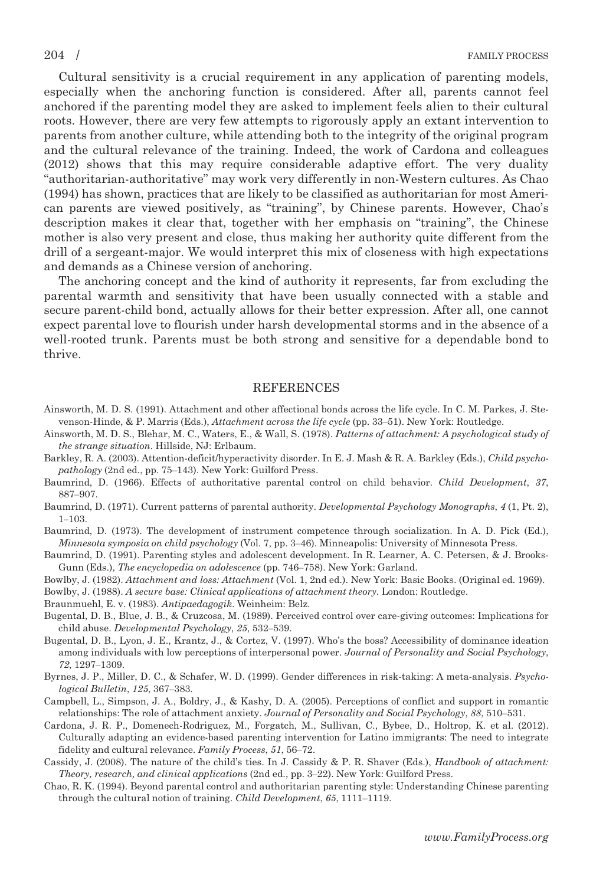Cultural sensitivity is a crucial requirement in any application of parenting models, especially when the anchoring function is considered. After all, parents cannot feel anchored if the parenting model they are asked to implement feels alien to their cultural roots. However, there are very few attempts to rigorously apply an extant intervention to parents from another culture, while attending both to the integrity of the original program and the cultural relevance of the training. Indeed, the work of Cardona and colleagues (2012) shows that this may require considerable adaptive effort. The very duality "authoritarian-authoritative" may work very differently in non-Western cultures. As Chao (1994) has shown, practices that are likely to be classified as authoritarian for most American parents are viewed positively, as "training", by Chinese parents. However, Chao's description makes it clear that, together with her emphasis on "training", the Chinese mother is also very present and close, thus making her authority quite different from the drill of a sergeant-major. We would interpret this mix of closeness with high expectations and demands as a Chinese version of anchoring.

The anchoring concept and the kind of authority it represents, far from excluding the parental warmth and sensitivity that have been usually connected with a stable and secure parent-child bond, actually allows for their better expression. After all, one cannot expect parental love to flourish under harsh developmental storms and in the absence of a well-rooted trunk. Parents must be both strong and sensitive for a dependable bond to thrive.

### REFERENCES

- Ainsworth, M. D. S. (1991). Attachment and other affectional bonds across the life cycle. In C. M. Parkes, J. Stevenson-Hinde, & P. Marris (Eds.), Attachment across the life cycle (pp. 33–51). New York: Routledge.
- Ainsworth, M. D. S., Blehar, M. C., Waters, E., & Wall, S. (1978). Patterns of attachment: A psychological study of the strange situation. Hillside, NJ: Erlbaum.
- Barkley, R. A. (2003). Attention-deficit/hyperactivity disorder. In E. J. Mash & R. A. Barkley (Eds.), Child psychopathology (2nd ed., pp. 75–143). New York: Guilford Press.
- Baumrind, D. (1966). Effects of authoritative parental control on child behavior. Child Development, 37, 887–907.
- Baumrind, D. (1971). Current patterns of parental authority. Developmental Psychology Monographs, 4 (1, Pt. 2), 1–103.
- Baumrind, D. (1973). The development of instrument competence through socialization. In A. D. Pick (Ed.), Minnesota symposia on child psychology (Vol. 7, pp. 3–46). Minneapolis: University of Minnesota Press.
- Baumrind, D. (1991). Parenting styles and adolescent development. In R. Learner, A. C. Petersen, & J. Brooks-Gunn (Eds.), The encyclopedia on adolescence (pp. 746–758). New York: Garland.
- Bowlby, J. (1982). Attachment and loss: Attachment (Vol. 1, 2nd ed.). New York: Basic Books. (Original ed. 1969).
- Bowlby, J. (1988). A secure base: Clinical applications of attachment theory. London: Routledge.
- Braunmuehl, E. v. (1983). Antipaedagogik. Weinheim: Belz.
- Bugental, D. B., Blue, J. B., & Cruzcosa, M. (1989). Perceived control over care-giving outcomes: Implications for child abuse. Developmental Psychology, 25, 532–539.
- Bugental, D. B., Lyon, J. E., Krantz, J., & Cortez, V. (1997). Who's the boss? Accessibility of dominance ideation among individuals with low perceptions of interpersonal power. Journal of Personality and Social Psychology, 72, 1297–1309.
- Byrnes, J. P., Miller, D. C., & Schafer, W. D. (1999). Gender differences in risk-taking: A meta-analysis. Psychological Bulletin, 125, 367–383.
- Campbell, L., Simpson, J. A., Boldry, J., & Kashy, D. A. (2005). Perceptions of conflict and support in romantic relationships: The role of attachment anxiety. Journal of Personality and Social Psychology, 88, 510–531.
- Cardona, J. R. P., Domenech-Rodriguez, M., Forgatch, M., Sullivan, C., Bybee, D., Holtrop, K. et al. (2012). Culturally adapting an evidence-based parenting intervention for Latino immigrants: The need to integrate fidelity and cultural relevance. Family Process, 51, 56-72.
- Cassidy, J. (2008). The nature of the child's ties. In J. Cassidy & P. R. Shaver (Eds.), Handbook of attachment: Theory, research, and clinical applications (2nd ed., pp. 3–22). New York: Guilford Press.
- Chao, R. K. (1994). Beyond parental control and authoritarian parenting style: Understanding Chinese parenting through the cultural notion of training. Child Development, 65, 1111–1119.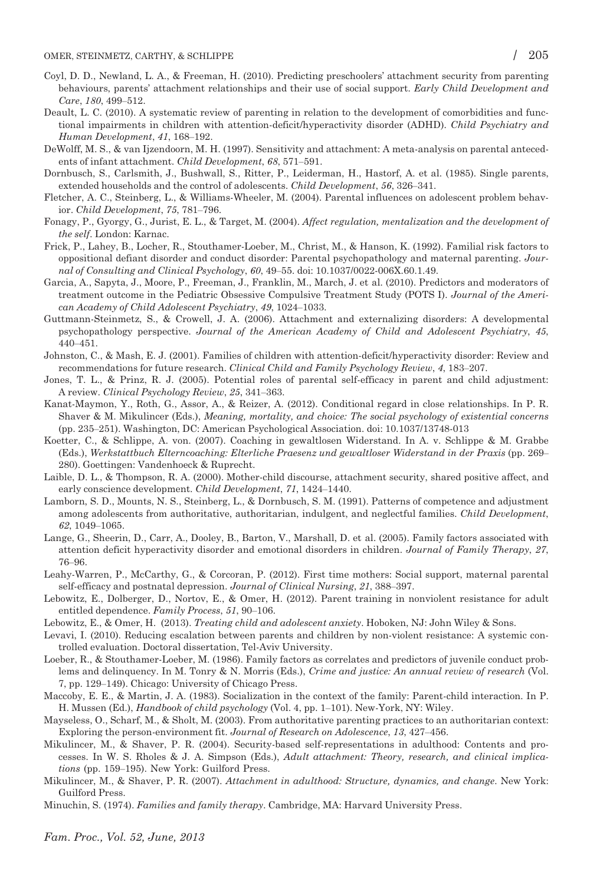- Coyl, D. D., Newland, L. A., & Freeman, H. (2010). Predicting preschoolers' attachment security from parenting behaviours, parents' attachment relationships and their use of social support. Early Child Development and Care, 180, 499–512.
- Deault, L. C. (2010). A systematic review of parenting in relation to the development of comorbidities and functional impairments in children with attention-deficit/hyperactivity disorder (ADHD). Child Psychiatry and Human Development, 41, 168–192.
- DeWolff, M. S., & van Ijzendoorn, M. H. (1997). Sensitivity and attachment: A meta-analysis on parental antecedents of infant attachment. Child Development, 68, 571–591.
- Dornbusch, S., Carlsmith, J., Bushwall, S., Ritter, P., Leiderman, H., Hastorf, A. et al. (1985). Single parents, extended households and the control of adolescents. Child Development, 56, 326–341.
- Fletcher, A. C., Steinberg, L., & Williams-Wheeler, M. (2004). Parental influences on adolescent problem behavior. Child Development, 75, 781–796.
- Fonagy, P., Gyorgy, G., Jurist, E. L., & Target, M. (2004). Affect regulation, mentalization and the development of the self. London: Karnac.
- Frick, P., Lahey, B., Locher, R., Stouthamer-Loeber, M., Christ, M., & Hanson, K. (1992). Familial risk factors to oppositional defiant disorder and conduct disorder: Parental psychopathology and maternal parenting. Journal of Consulting and Clinical Psychology, 60, 49–55. doi: 10.1037/0022-006X.60.1.49.
- Garcia, A., Sapyta, J., Moore, P., Freeman, J., Franklin, M., March, J. et al. (2010). Predictors and moderators of treatment outcome in the Pediatric Obsessive Compulsive Treatment Study (POTS I). Journal of the American Academy of Child Adolescent Psychiatry, 49, 1024–1033.
- Guttmann-Steinmetz, S., & Crowell, J. A. (2006). Attachment and externalizing disorders: A developmental psychopathology perspective. Journal of the American Academy of Child and Adolescent Psychiatry, 45, 440–451.
- Johnston, C., & Mash, E. J. (2001). Families of children with attention-deficit/hyperactivity disorder: Review and recommendations for future research. Clinical Child and Family Psychology Review, 4, 183–207.
- Jones, T. L., & Prinz, R. J. (2005). Potential roles of parental self-efficacy in parent and child adjustment: A review. Clinical Psychology Review, 25, 341–363.
- Kanat-Maymon, Y., Roth, G., Assor, A., & Reizer, A. (2012). Conditional regard in close relationships. In P. R. Shaver & M. Mikulincer (Eds.), Meaning, mortality, and choice: The social psychology of existential concerns (pp. 235–251). Washington, DC: American Psychological Association. doi: 10.1037/13748-013
- Koetter, C., & Schlippe, A. von. (2007). Coaching in gewaltlosen Widerstand. In A. v. Schlippe & M. Grabbe (Eds.), Werkstattbuch Elterncoaching: Elterliche Praesenz und gewaltloser Widerstand in der Praxis (pp. 269– 280). Goettingen: Vandenhoeck & Ruprecht.
- Laible, D. L., & Thompson, R. A. (2000). Mother-child discourse, attachment security, shared positive affect, and early conscience development. Child Development, 71, 1424–1440.
- Lamborn, S. D., Mounts, N. S., Steinberg, L., & Dornbusch, S. M. (1991). Patterns of competence and adjustment among adolescents from authoritative, authoritarian, indulgent, and neglectful families. Child Development, 62, 1049–1065.
- Lange, G., Sheerin, D., Carr, A., Dooley, B., Barton, V., Marshall, D. et al. (2005). Family factors associated with attention deficit hyperactivity disorder and emotional disorders in children. Journal of Family Therapy, 27, 76–96.
- Leahy-Warren, P., McCarthy, G., & Corcoran, P. (2012). First time mothers: Social support, maternal parental self-efficacy and postnatal depression. Journal of Clinical Nursing, 21, 388–397.
- Lebowitz, E., Dolberger, D., Nortov, E., & Omer, H. (2012). Parent training in nonviolent resistance for adult entitled dependence. Family Process, 51, 90–106.
- Lebowitz, E., & Omer, H. (2013). Treating child and adolescent anxiety. Hoboken, NJ: John Wiley & Sons.
- Levavi, I. (2010). Reducing escalation between parents and children by non-violent resistance: A systemic controlled evaluation. Doctoral dissertation, Tel-Aviv University.
- Loeber, R., & Stouthamer-Loeber, M. (1986). Family factors as correlates and predictors of juvenile conduct problems and delinquency. In M. Tonry & N. Morris (Eds.), Crime and justice: An annual review of research (Vol. 7, pp. 129–149). Chicago: University of Chicago Press.
- Maccoby, E. E., & Martin, J. A. (1983). Socialization in the context of the family: Parent-child interaction. In P. H. Mussen (Ed.), Handbook of child psychology (Vol. 4, pp. 1–101). New-York, NY: Wiley.
- Mayseless, O., Scharf, M., & Sholt, M. (2003). From authoritative parenting practices to an authoritarian context: Exploring the person-environment fit. Journal of Research on Adolescence, 13, 427–456.
- Mikulincer, M., & Shaver, P. R. (2004). Security-based self-representations in adulthood: Contents and processes. In W. S. Rholes & J. A. Simpson (Eds.), Adult attachment: Theory, research, and clinical implications (pp. 159–195). New York: Guilford Press.
- Mikulincer, M., & Shaver, P. R. (2007). Attachment in adulthood: Structure, dynamics, and change. New York: Guilford Press.
- Minuchin, S. (1974). Families and family therapy. Cambridge, MA: Harvard University Press.